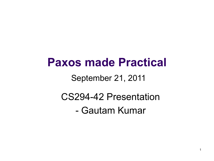### **Paxos made Practical**

#### September 21, 2011

# CS294-42 Presentation

- Gautam Kumar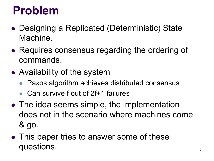### **Problem**

- Designing a Replicated (Deterministic) State Machine.
- Requires consensus regarding the ordering of commands.
- Availability of the system
	- Paxos algorithm achieves distributed consensus
	- Can survive f out of 2f+1 failures
- The idea seems simple, the implementation does not in the scenario where machines come & go.
- This paper tries to answer some of these questions.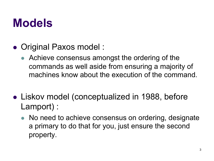### **Models**

- Original Paxos model :
	- Achieve consensus amongst the ordering of the commands as well aside from ensuring a majority of machines know about the execution of the command.
- Liskov model (conceptualized in 1988, before Lamport) :
	- No need to achieve consensus on ordering, designate a primary to do that for you, just ensure the second property.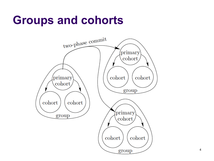### **Groups and cohorts**

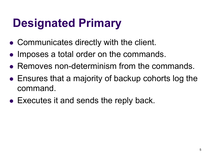## **Designated Primary**

- Communicates directly with the client.
- Imposes a total order on the commands.
- Removes non-determinism from the commands.
- $\bullet$  Ensures that a majority of backup cohorts log the command.
- Executes it and sends the reply back.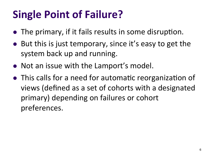### **Single Point of Failure?**

- The primary, if it fails results in some disruption.
- $\bullet$  But this is just temporary, since it's easy to get the system back up and running.
- Not an issue with the Lamport's model.
- This calls for a need for automatic reorganization of views (defined as a set of cohorts with a designated primary) depending on failures or cohort preferences.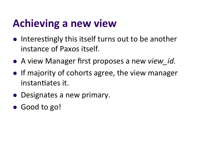### **Achieving a new view**

- Interestingly this itself turns out to be another instance of Paxos itself.
- **.** A view Manager first proposes a new *view id.*
- $\bullet$  If majority of cohorts agree, the view manager instantiates it.
- Designates a new primary.
- Good to go!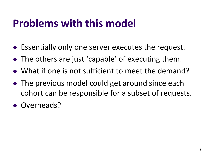### **Problems with this model**

- Essentially only one server executes the request.
- The others are just 'capable' of executing them.
- What if one is not sufficient to meet the demand?
- The previous model could get around since each cohort can be responsible for a subset of requests.
- Overheads?